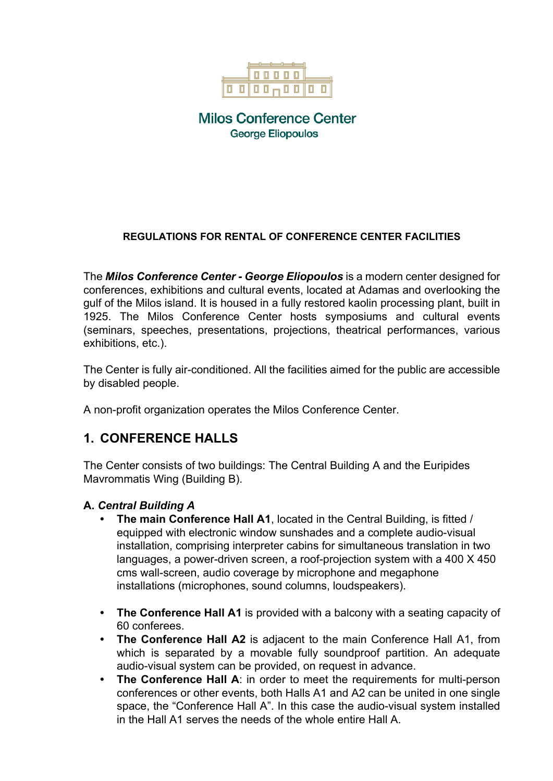

**Milos Conference Center George Eliopoulos** 

#### **REGULATIONS FOR RENTAL OF CONFERENCE CENTER FACILITIES**

The *Milos Conference Center - George Eliopoulos* is a modern center designed for conferences, exhibitions and cultural events, located at Adamas and overlooking the gulf of the Milos island. It is housed in a fully restored kaolin processing plant, built in 1925. The Milos Conference Center hosts symposiums and cultural events (seminars, speeches, presentations, projections, theatrical performances, various exhibitions, etc.).

The Center is fully air-conditioned. All the facilities aimed for the public are accessible by disabled people.

A non-profit organization operates the Milos Conference Center.

## **1. CONFERENCE HALLS**

The Center consists of two buildings: The Central Building A and the Euripides Mavrommatis Wing (Building B).

#### **A.** *Central Building A*

- **• The main Conference Hall A1**, located in the Central Building, is fitted / equipped with electronic window sunshades and a complete audio-visual installation, comprising interpreter cabins for simultaneous translation in two languages, a power-driven screen, a roof-projection system with a 400 X 450 cms wall-screen, audio coverage by microphone and megaphone installations (microphones, sound columns, loudspeakers).
- **• The Conference Hall A1** is provided with a balcony with a seating capacity of 60 conferees.
- **• The Conference Hall A2** is adjacent to the main Conference Hall A1, from which is separated by a movable fully soundproof partition. An adequate audio-visual system can be provided, on request in advance.
- **• The Conference Hall A**: in order to meet the requirements for multi-person conferences or other events, both Halls A1 and A2 can be united in one single space, the "Conference Hall A". In this case the audio-visual system installed in the Hall A1 serves the needs of the whole entire Hall A.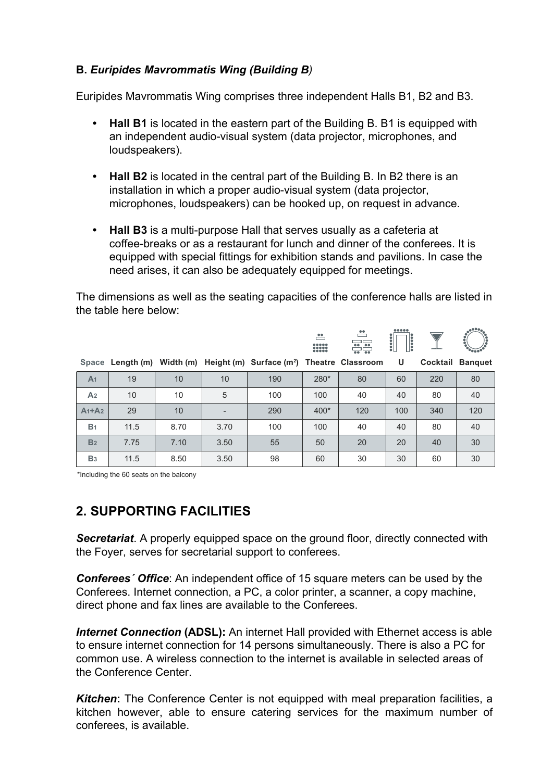### **B.** *Euripides Mavrommatis Wing (Building B)*

Euripides Mavrommatis Wing comprises three independent Halls B1, B2 and B3.

- **• Hall B1** is located in the eastern part of the Building B. B1 is equipped with an independent audio-visual system (data projector, microphones, and loudspeakers).
- **• Hall B2** is located in the central part of the Building B. In B2 there is an installation in which a proper audio-visual system (data projector, microphones, loudspeakers) can be hooked up, on request in advance.
- **• Hall B3** is a multi-purpose Hall that serves usually as a cafeteria at coffee-breaks or as a restaurant for lunch and dinner of the conferees. It is equipped with special fittings for exhibition stands and pavilions. In case the need arises, it can also be adequately equipped for meetings.

The dimensions as well as the seating capacities of the conference halls are listed in the table here below:

|                |      |      |      |                                                                                   | ै<br>$\begin{array}{ c c c }\hline 0 & 0 & 0 & 0 & 0 \\ \hline 0 & 0 & 0 & 0 & 0 \\ \hline 0 & 0 & 0 & 0 & 0 \\ \hline \end{array}$ | $\overset{\bullet\bullet}{-}$<br><u>ss</u> | $\ddot{\phantom{a}}$<br>$\mathbin{{\mathbb R}}$ |     | .e**.                   |
|----------------|------|------|------|-----------------------------------------------------------------------------------|-------------------------------------------------------------------------------------------------------------------------------------|--------------------------------------------|-------------------------------------------------|-----|-------------------------|
|                |      |      |      | Space Length (m) Width (m) Height (m) Surface (m <sup>2</sup> ) Theatre Classroom |                                                                                                                                     |                                            | U                                               |     | <b>Cocktail Banquet</b> |
| A <sub>1</sub> | 19   | 10   | 10   | 190                                                                               | 280*                                                                                                                                | 80                                         | 60                                              | 220 | 80                      |
| A <sub>2</sub> | 10   | 10   | 5    | 100                                                                               | 100                                                                                                                                 | 40                                         | 40                                              | 80  | 40                      |
| $A_1+A_2$      | 29   | 10   |      | 290                                                                               | $400*$                                                                                                                              | 120                                        | 100                                             | 340 | 120                     |
| B <sub>1</sub> | 11.5 | 8.70 | 3.70 | 100                                                                               | 100                                                                                                                                 | 40                                         | 40                                              | 80  | 40                      |
| B <sub>2</sub> | 7.75 | 7.10 | 3.50 | 55                                                                                | 50                                                                                                                                  | 20                                         | 20                                              | 40  | 30                      |
| B <sub>3</sub> | 11.5 | 8.50 | 3.50 | 98                                                                                | 60                                                                                                                                  | 30                                         | 30                                              | 60  | 30                      |

\*Including the 60 seats on the balcony

# **2. SUPPORTING FACILITIES**

**Secretariat.** A properly equipped space on the ground floor, directly connected with the Foyer, serves for secretarial support to conferees.

*Conferees´ Office*: An independent office of 15 square meters can be used by the Conferees. Internet connection, a PC, a color printer, a scanner, a copy machine, direct phone and fax lines are available to the Conferees.

**Internet Connection (ADSL):** An internet Hall provided with Ethernet access is able to ensure internet connection for 14 persons simultaneously. There is also a PC for common use. A wireless connection to the internet is available in selected areas of the Conference Center.

**Kitchen:** The Conference Center is not equipped with meal preparation facilities, a kitchen however, able to ensure catering services for the maximum number of conferees, is available.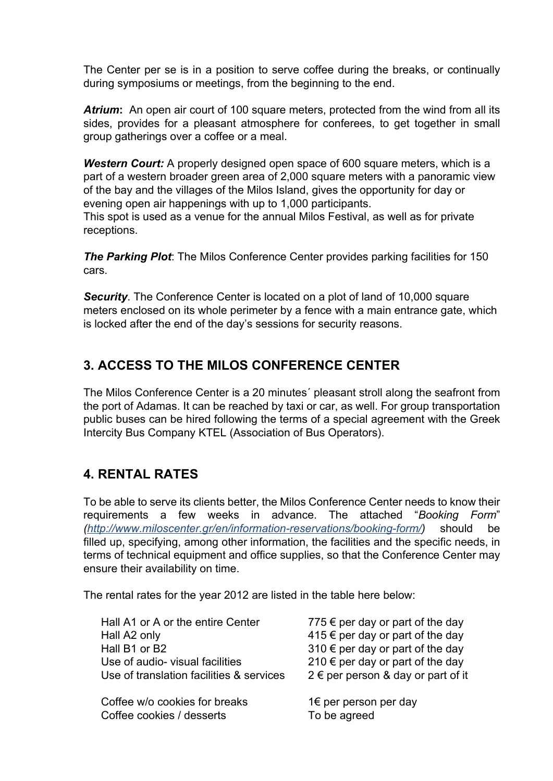The Center per se is in a position to serve coffee during the breaks, or continually during symposiums or meetings, from the beginning to the end.

*Atrium***:** An open air court of 100 square meters, protected from the wind from all its sides, provides for a pleasant atmosphere for conferees, to get together in small group gatherings over a coffee or a meal.

**Western Court:** A properly designed open space of 600 square meters, which is a part of a western broader green area of 2,000 square meters with a panoramic view of the bay and the villages of the Milos Island, gives the opportunity for day or evening open air happenings with up to 1,000 participants.

This spot is used as a venue for the annual Milos Festival, as well as for private receptions.

*The Parking Plot*: The Milos Conference Center provides parking facilities for 150 cars.

*Security*. The Conference Center is located on a plot of land of 10,000 square meters enclosed on its whole perimeter by a fence with a main entrance gate, which is locked after the end of the day's sessions for security reasons.

# **3. ACCESS TO THE MILOS CONFERENCE CENTER**

The Milos Conference Center is a 20 minutes´ pleasant stroll along the seafront from the port of Adamas. It can be reached by taxi or car, as well. For group transportation public buses can be hired following the terms of a special agreement with the Greek Intercity Bus Company KTEL (Association of Bus Operators).

## **4. RENTAL RATES**

To be able to serve its clients better, the Milos Conference Center needs to know their requirements a few weeks in advance. The attached "*Booking Form*" *(http://www.miloscenter.gr/en/information-reservations/booking-form/)* should be filled up, specifying, among other information, the facilities and the specific needs, in terms of technical equipment and office supplies, so that the Conference Center may ensure their availability on time.

The rental rates for the year 2012 are listed in the table here below:

| Hall A1 or A or the entire Center        | 775 $\epsilon$ per day or part of the day |
|------------------------------------------|-------------------------------------------|
| Hall A2 only                             | 415 € per day or part of the day          |
| Hall B1 or B2                            | 310 € per day or part of the day          |
| Use of audio-visual facilities           | 210 € per day or part of the day          |
| Use of translation facilities & services | 2 € per person & day or part of it        |
| Coffee w/o cookies for breaks            | 1€ per person per day                     |
| Coffee cookies / desserts                | To be agreed                              |